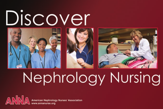



# Nephrology Nursing

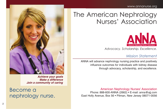

**Achieve your goals Make a difference Join a community of caring**

## Become a nephrology nurse.

## The American Nephrology Nurses' Association



*Advocacy. Scholarship. Excellence.*

#### *Mission Statement*

ANNA will advance nephrology nursing practice and positively influence outcomes for individuals with kidney disease through advocacy, scholarship, and excellence.

American Nephrology Nurses' Association Phone: 888-600-ANNA (2662) • E-mail: anna@ajj.com East Holly Avenue, Box 56 • Pitman, New Jersey 08071-0056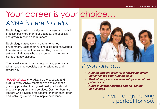## Your career is your choice… *ANNA is here to help.*

Nephrology nursing is a dynamic, diverse, and holistic practice. For more than four decades, the specialty has grown in scope and numbers.

Nephrology nurses work in a team-oriented environment, using their nursing skills and knowledge to make independent decisions. They care for patients of all ages who are experiencing, or are at risk for, kidney disease.

The broad scope of nephrology nursing practice is what makes the specialty both challenging and rewarding.

ANNA's mission is to advance the specialty and nurture every ANNA member. We achieve these goals by providing the highest quality educational products, programs, and services. Our members are leaders who advocate for patients, mentor each other, and lobby legislators, all to inspire excellence.



## *If you are a…*

- **• Nursing student eager for a rewarding career that enhances your nursing skills**
- **• Medical-surgical nurse who enjoys specialized patient care**
- **• Nurse in another practice setting looking for a change**

### …nephrology nursing is perfect for you.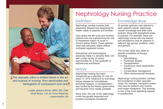

The specialty offers a brilliant blend of the art and science of nursing, from electrolytes and hemoglobin to compassion and care.

> Loretta Jackson Brown, MSN, RN, CNN Chief Nurse, U.S. Air Force Reserves Lawrenceville, GA

## Nephrology Nursing Practice

#### *Definition*

Nephrology nursing involves both preventing disease and assessing the health needs of patients and families.

Care spans the life cycle and involves patients who are experiencing the real or threatened impact of acute or chronic kidney failure. These patients need well-educated, highly skilled, motivated registered nurses.

Educational and technological advances make it a dynamic field, rich with a wide variety of career opportunities for a new graduate or experienced practitioner.

#### *History*

Nephrology nursing has been recognized as a specialty for over 40 years. In 1973, treatment for end stage kidney disease by hemodialysis, peritoneal dialysis, or transplantation was funded by the federal government and became more readily available.

Since then, the role of the nephrology nurse has greatly expanded and practice boundaries broadened.

#### *Knowledge Base*

To provide optimum care tailored to each patient's needs, nephrology nurses' knowledge and skills have evolved, along with specialized areas of practice. For example, there are nephrology nurses who are trained and educated to care for patients in different age groups: pediatric, adult, and geriatric.

The nurses' skills also relate to specific modalities of therapy including:

- Hemodialysis
- Peritoneal dialysis
- **Transplantation**
- Continuous renal replacement therapy
- Conservative management
- Other extracorporeal therapies

Nephrology nursing practice overlaps the boundaries of other specialty areas. For example, transplant nurses now care for patients who receive multi-organ transplants. This diversity is one of the most appealing aspects to practitioners.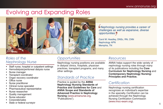## Evolving and Expanding Roles







#### *Opportunities*

Nephrology nursing positions are available in dialysis clinics, hospitals, physician practices, transplant programs, and many other settings.

#### *Standards of Practice*

Practice is guided by the **ANNA Nephrology Nursing Standards of Practice and Guidelines for Care** and **ANNA Scope and Standards of Advanced Practice in Nephrology Nursing** (www.annanurse.org, "Publications").

Nephrology nursing provides a career of challenges as well as expansive, diverse opportunities.

Carol M. Headley, DNSc, RN, CNN Nephrology APN Memphis, TN

#### *Resources*

ANNA helps support the wide variety of nephrology nursing roles through many of its publications including the **Core Curriculum for Nephrology Nursing** and **Contemporary Nephrology Nursing: Principles and Practice.**

#### *Certification*

Nephrology nursing certification recognizes an individual's expertise in the specialty. Certification can be achieved through the Nephrology Nursing Certification Commission (www.nncc-exam.org).

#### *Roles of the Nephrology Nurse*

- Staff nurse, hospital or outpatient settings
- Hemodialysis/peritoneal dialysis nurse
- Nurse manager
- Transplant coordinator
- Organ recovery coordinator
- Office nurse
- Nurse practitioner
- Clinical nurse specialist
- Pharmaceutical representative
- Nurse researcher
- Quality management
- Nurse educator
- Corporate/sales
- State or federal surveyor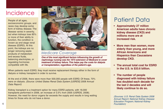## Incidence

People of all ages, socioeconomic groups, and races may develop some form of kidney disease. The disease varies in severity, but when kidneys lose 85% or more of their ability to function, the condition is known as end stage renal disease (ESRD). At this point, the kidneys are no longer removing waste products of metabolism and excess fluids, balancing electrolytes, or regulating hormones compatible with life.



#### *Medicare Coverage*

**One of the most significant factors influencing the growth of nephrology nursing was the 1973 extension of Medicare to cover treatment of kidney failure.This helps pay the costs for dialysis or transplantation, regardless of the patient's age.**

When patients reach ESRD, they must receive replacement therapy either in the form of dialysis or kidney transplant in order to survive.

At the end of 2006, there were more than 500,000 people with ESRD. Of these, 70% were on dialysis. (Source: United States Renal Data System [USRDS] 2008 Annual Data Report)

Kidney transplant is a treatment option for many ESRD patients, with 18,000 transplants performed in 2006, an increase of 3.5% from 2005 (USRDS, 2008). However, the need for donor organs far exceeds the supply and results in long waiting times for those who do not have a donor.

## Patient Data

- **Approximately 27 million American adults have chronic kidney disease (CKD) and millions more are at increased risk.**
- **More men than women, more elderly than young, and more African Americans and Hispanics than Caucasians develop CKD.**
- **The annual total cost for ESRD in the U.S. is \$33.6 billion.**
- **The number of people diagnosed with kidney failure has doubled each decade for the last 2 decades and will likely continue to do so.**

(Sources: U.S. Renal Data System 2008 Annual Report; National Kidney Disease Education Program; National Kidney Foundation)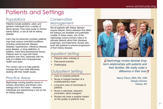## Patients and Settings

#### *Populations*

Patients include pediatric, adult, and geriatric individuals from a variety of ethnic groups. They have acute or chronic kidney failure, or are at risk for kidney disease.

Care may be extremely complex: patients may have various comorbid conditions including cardiovascular disease, diabetes, hypertension, infectious disease, bone disease, or drug addiction. In addition, many face psychosocial issues. Patients learn to cope with these problems over time, especially with the help of a skilled and compassionate health care team.

The nurse's role is to help patients manage their lives while effectively dealing with their health issues.

#### *Practice Areas*

Nephrology nursing practice occurs in primary, secondary, and tertiary care settings and in the home – wherever individuals are experiencing or are at risk for kidney disease.

#### *Conservative Management*

Not all patients with kidney disease require dialysis. Some diseases that affect the kidneys are treatable and potentially curable. In these cases, one of the nephrology nurse's primary roles is to educate patients about their diseases, prognoses, and treatments. Nurses also work with patients to prevent progression of their kidney disease.

#### *Inpatient Setting*

- Patients often critically ill
- Fast-paced practice
- **Challenging**

#### *Outpatient Setting*

- Care of complex patients
- Nurse is integral member of a multidisciplinary team
- Long-term care of chronically ill patients
- Nurse is advocate, educator, consultant, direct caregiver
- Nurses can have a positive impact on the quality of patients' lives



Nephrology nurses develop longterm relationships with patients and their families. We really make a difference in their lives.

> Nancy Pierce, BSN, RN, CNN Dialysis Director Helena, MT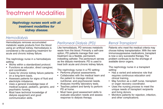## Treatment Modalities

**Nephrology nurses work with all treatment modalities for kidney disease.**



#### *Hemodialysis*

Hemodialysis removes accumulated metabolic waste products from the blood using an artificial kidney. Hemodialysis is considered a life-sustaining treatment for acute and chronic kidney failure.

The nephrology nurse in a hemodialysis setting:

- Works within a standardized protocol.
- Functions as educator, direct caregiver, and coordinator.
- Cares for chronic kidney failure patients on a long-term basis.
- Assesses patients for signs of fluid and electrolyte imbalance.
- Uses a general knowledge base of medical-surgical, pediatric, geriatric, and psychiatric nursing.
- Must have technical knowledge of dialysis equipment and good communication skills.

#### *Peritoneal Dialysis (PD)*

Like hemodialysis, PD removes metabolic waste from the blood. Primarily a self-care option, PD patients manage their own treatment via a flexible, permanent, indwelling catheter. The peritoneum serves as the dialysis membrane. PD is used to treat both acute and chronic kidney failure.

The nephrology nurse in a PD setting:

- Performs physical assessments.
- Collaborates with the medical team and the patient to manage clinical, nutritional, and psychosocial needs.
- Analyzes monthly laboratory tests.
- Teaches patient and family to perform PD at home.
- Must have good assessment skills to evaluate education needs and assess response to dialysis therapy.

#### *Renal Transplant*

Patients who meet the medical criteria may choose kidney transplantation. With the new immunosuppressive medications, transplant is now a very successful therapy. The problem continues to be the shortage of available donor organs.

The nephrology nurse in a transplant setting:

- Has a varied and extensive role that requires continuous education and clinical training.
- May function as a staff nurse, transplant or organ recovery coordinator.
- Uses the nursing process to meet the unique needs of transplant recipients and living donors.
- Monitors patients for rejection, infection, and other complications.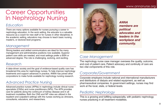## Career Opportunities In Nephrology Nursing

#### *Education*

There are many options available for nurses pursuing a career in nephrology education. In the work setting, the educator is a valuable resource as a coach for new staff or for nurses in other disciplines. In the academic setting, educators may choose to teach basic nursing, master's, or doctoral level programs.

#### *Management*

Strong leaders and skilled communicators are ideal for the many management and administrative positions now available. Superior patient care skills are needed, and most settings prefer a BSN or advanced degree. The role is challenging, evolving, and exciting.

#### *Research*

A data-driven society and the goal of evidence-based quality care has broadened this area for nephrology nurses. To help improve nephrology treatments and support advances in practice, ANNA has joined other corporations to make funds available for nephrology nursing research.

#### *Advanced Practice Nursing*

Advanced practice nurses (APNs) in nephrology include clinical nurse specialists (CNSs) and nurse practitioners (NPs). The APN provides care for patients along the continuum of kidney disease and in all treatment modalities. Both the CNS and NP roles are utilized in the inpatient and outpatient settings with the nurses working as clinicians, consultants, educators, and researchers.



**ANNA members are political advocates and leaders in the workplace and community.**

#### *Case Management*

The nephrology nurse case manager oversees the quality, outcome, and cost of patient care. Patient advocacy and continuity of care are two vital components of this role.

#### *Corporate/Government*

Corporate employers include national and international manufacturers and distributors of dialysis and related equipment, as well as pharmaceutical companies. In government settings, nurses may find work at the local, state, or federal levels.

#### *Pediatric Nephrology*

This is a growing and fulfilling subspecialty, with pediatric nephrology nurses practicing in all treatment modalities.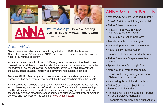







**We welcome you** to join our caring community. Visit **www.annanurse.org** to learn more.

#### *About ANNA*

Since it was established as a nonprofit organization in 1969, the American Nephrology Nurses' Association (ANNA) has been serving members who span the nephrology nursing spectrum.

ANNA has a membership of over 12,000 registered nurses and other health care professionals at all levels of practice. Members work in such areas as conservative management, peritoneal dialysis, hemodialysis, continuous renal replacement therapies, transplantation, industry, and government/regulatory agencies.

Because ANNA offers programs to mentor newcomers and develop leaders, the association has been extremely successful in helping members attain their goals.

ANNA serves its members through a national structure separated into four regions. Within these regions are over 100 local chapters. The association also offers top quality education services, products, conferences, and programs. State-of-the-art technology provides networking opportunities and supports a vast array of member services and resources on the Web site, www.annanurse.org.

## ANNA Member Benefits

- Nephrology Nursing Journal (bimonthly)
- ANNA Update newsletter (bimonthly)
- ANNA E-News (monthly)
- ANNA's RenalWEB Biweekly Nephrology Nursing News
- Top-quality education programs
- Awards, scholarships, and grants
- Leadership training and development
- Health policy representation
- Professional resources and publications
- ANNA Resource Corps volunteer network
- Special Interest Groups (SIGs)
- Web site and Internet community
- Online continuing nursing education (ANNA's Online Library)
- Networking through local chapters
- ANNA Connected Social and Professional Networking
- Professional liability insurance (through Nurses Service Organization)
- Discounts for programs and publications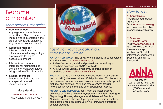## Become a member

#### *Membership Categories*

• **Active member:**

Any registered nurse licensed in the United States, Canada, or Mexico who is interested in the care of nephrology patients is eligible for active membership.

#### • **Associate member:**

LP/VNs, technicians, and others interested in nephrology are welcome to join as associate members.

• **International member:** International membership is available to registered nurses living outside of North America.

#### • **Student member:**

Students are invited to join at a special reduced membership rate.

More details: www.annanurse.org "Join ANNA or Renew."



#### *Fast-track Your Education and Professional Growth*

*ANNA Virtual World.* The Virtual World includes three resources:

- ANNA's Web site, www.annanurse.org
- ANNA Connected, social and professional networking for members accessed via ANNA's Web site.
- ANNA's Online Library, a vast array of online education available at www.prolibraries.com/anna.

*Publications.* As a member, you'll receive Nephrology Nursing Journal (NNJ), the association's official publication. This bimonthly peer-reviewed journal contains original articles, research, special features, and editorials. You'll also receive ANNA Update newsletter, ANNA E-news, and other special publications.

#### *Programs and Resources.* You'll learn the latest practice advances at ANNA's **National Symposium** and **Fall Meeting for Nephrology Nurses, Managers, and Advanced Practice Nurses.** There are also health policy and leadership workshops; audio conferences; an extensive online library; and numerous chapter programs.

#### www.annanurse.org

#### *How to join:*

**1. Apply Online**

The fastest and easiest way to join! Visit www.annanurse.org and complete the online membership application.

#### **2. Download Printable Form**

Visit www.annanurse.org and download a PDF of the membership application. Complete the information, enclose your payment, and mail as **instructed.** 



Questions? We're here to help! Call ANNA at 888-600-ANNA (2662) or e-mail anna@ajj.com.